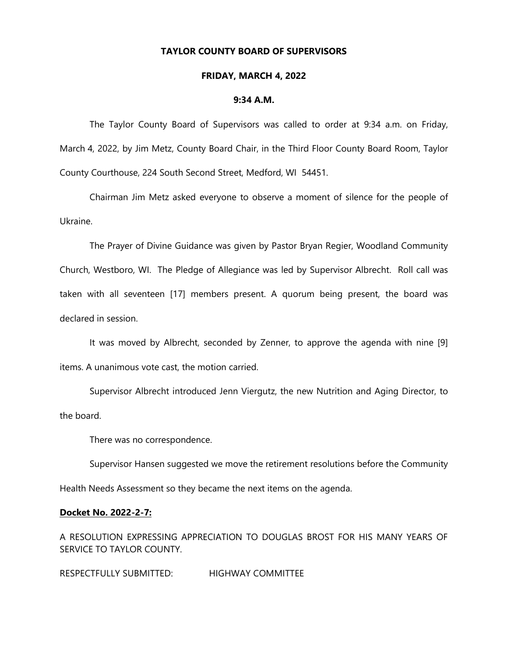# **TAYLOR COUNTY BOARD OF SUPERVISORS**

#### **FRIDAY, MARCH 4, 2022**

#### **9:34 A.M.**

The Taylor County Board of Supervisors was called to order at 9:34 a.m. on Friday, March 4, 2022, by Jim Metz, County Board Chair, in the Third Floor County Board Room, Taylor County Courthouse, 224 South Second Street, Medford, WI 54451.

Chairman Jim Metz asked everyone to observe a moment of silence for the people of Ukraine.

The Prayer of Divine Guidance was given by Pastor Bryan Regier, Woodland Community Church, Westboro, WI. The Pledge of Allegiance was led by Supervisor Albrecht. Roll call was taken with all seventeen [17] members present. A quorum being present, the board was declared in session.

It was moved by Albrecht, seconded by Zenner, to approve the agenda with nine [9] items. A unanimous vote cast, the motion carried.

Supervisor Albrecht introduced Jenn Viergutz, the new Nutrition and Aging Director, to the board.

There was no correspondence.

Supervisor Hansen suggested we move the retirement resolutions before the Community

Health Needs Assessment so they became the next items on the agenda.

### **Docket No. 2022-2-7:**

A RESOLUTION EXPRESSING APPRECIATION TO DOUGLAS BROST FOR HIS MANY YEARS OF SERVICE TO TAYLOR COUNTY.

RESPECTFULLY SUBMITTED: HIGHWAY COMMITTEE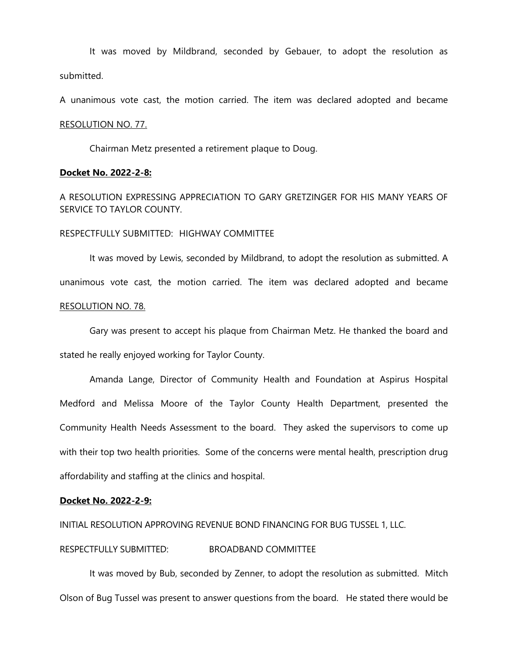It was moved by Mildbrand, seconded by Gebauer, to adopt the resolution as submitted.

A unanimous vote cast, the motion carried. The item was declared adopted and became

#### RESOLUTION NO. 77.

Chairman Metz presented a retirement plaque to Doug.

### **Docket No. 2022-2-8:**

A RESOLUTION EXPRESSING APPRECIATION TO GARY GRETZINGER FOR HIS MANY YEARS OF SERVICE TO TAYLOR COUNTY.

### RESPECTFULLY SUBMITTED: HIGHWAY COMMITTEE

It was moved by Lewis, seconded by Mildbrand, to adopt the resolution as submitted. A unanimous vote cast, the motion carried. The item was declared adopted and became RESOLUTION NO. 78.

Gary was present to accept his plaque from Chairman Metz. He thanked the board and stated he really enjoyed working for Taylor County.

Amanda Lange, Director of Community Health and Foundation at Aspirus Hospital Medford and Melissa Moore of the Taylor County Health Department, presented the Community Health Needs Assessment to the board. They asked the supervisors to come up with their top two health priorities. Some of the concerns were mental health, prescription drug affordability and staffing at the clinics and hospital.

#### **Docket No. 2022-2-9:**

INITIAL RESOLUTION APPROVING REVENUE BOND FINANCING FOR BUG TUSSEL 1, LLC.

# RESPECTFULLY SUBMITTED: BROADBAND COMMITTEE

It was moved by Bub, seconded by Zenner, to adopt the resolution as submitted. Mitch Olson of Bug Tussel was present to answer questions from the board. He stated there would be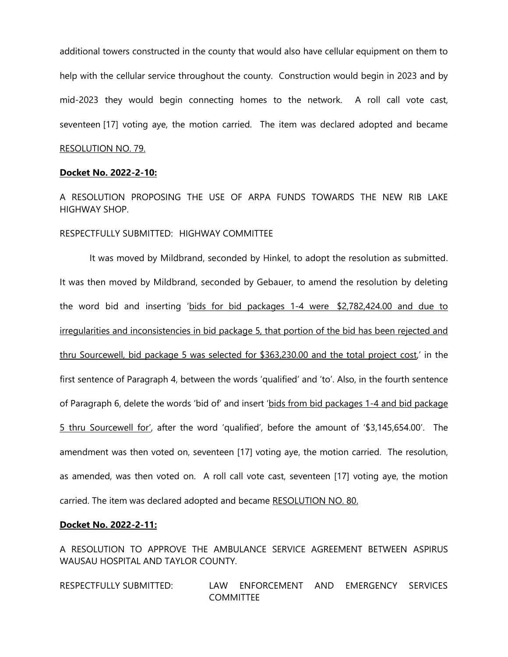additional towers constructed in the county that would also have cellular equipment on them to help with the cellular service throughout the county. Construction would begin in 2023 and by mid-2023 they would begin connecting homes to the network. A roll call vote cast, seventeen [17] voting aye, the motion carried. The item was declared adopted and became RESOLUTION NO. 79.

#### **Docket No. 2022-2-10:**

A RESOLUTION PROPOSING THE USE OF ARPA FUNDS TOWARDS THE NEW RIB LAKE HIGHWAY SHOP.

RESPECTFULLY SUBMITTED: HIGHWAY COMMITTEE

It was moved by Mildbrand, seconded by Hinkel, to adopt the resolution as submitted. It was then moved by Mildbrand, seconded by Gebauer, to amend the resolution by deleting the word bid and inserting 'bids for bid packages 1-4 were \$2,782,424.00 and due to irregularities and inconsistencies in bid package 5, that portion of the bid has been rejected and thru Sourcewell, bid package 5 was selected for \$363,230.00 and the total project cost,' in the first sentence of Paragraph 4, between the words 'qualified' and 'to'. Also, in the fourth sentence of Paragraph 6, delete the words 'bid of' and insert 'bids from bid packages 1-4 and bid package 5 thru Sourcewell for', after the word 'qualified', before the amount of '\$3,145,654.00'. The amendment was then voted on, seventeen [17] voting aye, the motion carried. The resolution, as amended, was then voted on. A roll call vote cast, seventeen [17] voting aye, the motion carried. The item was declared adopted and became RESOLUTION NO. 80.

### **Docket No. 2022-2-11:**

A RESOLUTION TO APPROVE THE AMBULANCE SERVICE AGREEMENT BETWEEN ASPIRUS WAUSAU HOSPITAL AND TAYLOR COUNTY.

RESPECTFULLY SUBMITTED: LAW ENFORCEMENT AND EMERGENCY SERVICES **COMMITTEE**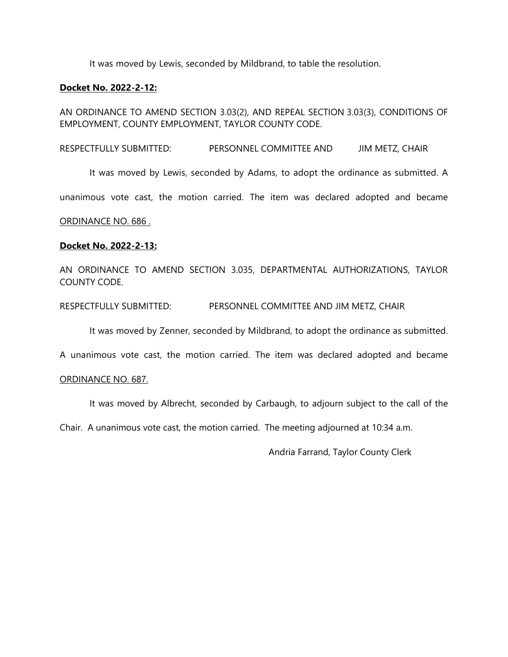It was moved by Lewis, seconded by Mildbrand, to table the resolution.

### **Docket No. 2022-2-12:**

AN ORDINANCE TO AMEND SECTION 3.03(2), AND REPEAL SECTION 3.03(3), CONDITIONS OF EMPLOYMENT, COUNTY EMPLOYMENT, TAYLOR COUNTY CODE.

RESPECTFULLY SUBMITTED: PERSONNEL COMMITTEE AND JIM METZ, CHAIR

It was moved by Lewis, seconded by Adams, to adopt the ordinance as submitted. A

unanimous vote cast, the motion carried. The item was declared adopted and became

### ORDINANCE NO. 686 .

## **Docket No. 2022-2-13:**

AN ORDINANCE TO AMEND SECTION 3.035, DEPARTMENTAL AUTHORIZATIONS, TAYLOR COUNTY CODE.

RESPECTFULLY SUBMITTED: PERSONNEL COMMITTEE AND JIM METZ, CHAIR

It was moved by Zenner, seconded by Mildbrand, to adopt the ordinance as submitted.

A unanimous vote cast, the motion carried. The item was declared adopted and became

### ORDINANCE NO. 687.

It was moved by Albrecht, seconded by Carbaugh, to adjourn subject to the call of the

Chair. A unanimous vote cast, the motion carried. The meeting adjourned at 10:34 a.m.

Andria Farrand, Taylor County Clerk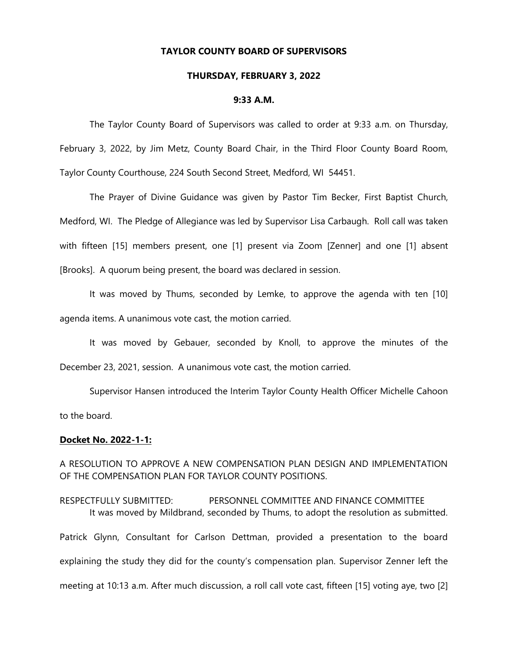## **TAYLOR COUNTY BOARD OF SUPERVISORS**

#### **THURSDAY, FEBRUARY 3, 2022**

#### **9:33 A.M.**

The Taylor County Board of Supervisors was called to order at 9:33 a.m. on Thursday, February 3, 2022, by Jim Metz, County Board Chair, in the Third Floor County Board Room, Taylor County Courthouse, 224 South Second Street, Medford, WI 54451.

The Prayer of Divine Guidance was given by Pastor Tim Becker, First Baptist Church, Medford, WI. The Pledge of Allegiance was led by Supervisor Lisa Carbaugh. Roll call was taken with fifteen [15] members present, one [1] present via Zoom [Zenner] and one [1] absent [Brooks]. A quorum being present, the board was declared in session.

It was moved by Thums, seconded by Lemke, to approve the agenda with ten [10] agenda items. A unanimous vote cast, the motion carried.

It was moved by Gebauer, seconded by Knoll, to approve the minutes of the December 23, 2021, session. A unanimous vote cast, the motion carried.

Supervisor Hansen introduced the Interim Taylor County Health Officer Michelle Cahoon to the board.

### **Docket No. 2022-1-1:**

A RESOLUTION TO APPROVE A NEW COMPENSATION PLAN DESIGN AND IMPLEMENTATION OF THE COMPENSATION PLAN FOR TAYLOR COUNTY POSITIONS.

RESPECTFULLY SUBMITTED: PERSONNEL COMMITTEE AND FINANCE COMMITTEE It was moved by Mildbrand, seconded by Thums, to adopt the resolution as submitted. Patrick Glynn, Consultant for Carlson Dettman, provided a presentation to the board explaining the study they did for the county's compensation plan. Supervisor Zenner left the meeting at 10:13 a.m. After much discussion, a roll call vote cast, fifteen [15] voting aye, two [2]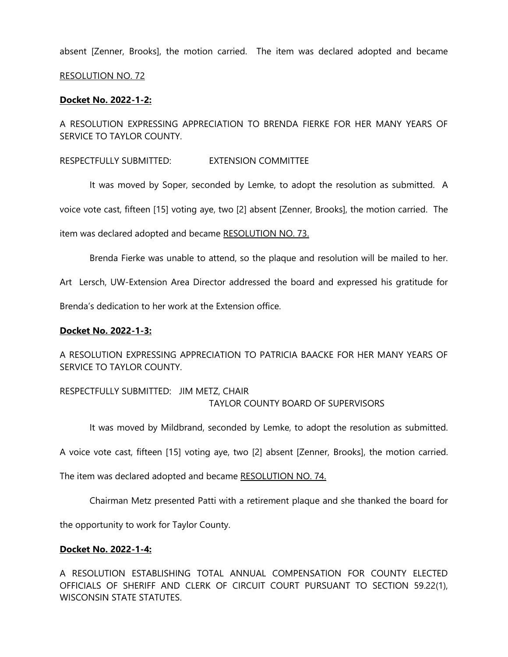absent [Zenner, Brooks], the motion carried. The item was declared adopted and became

### RESOLUTION NO. 72

### **Docket No. 2022-1-2:**

A RESOLUTION EXPRESSING APPRECIATION TO BRENDA FIERKE FOR HER MANY YEARS OF SERVICE TO TAYLOR COUNTY.

### RESPECTFULLY SUBMITTED: EXTENSION COMMITTEE

It was moved by Soper, seconded by Lemke, to adopt the resolution as submitted. A

voice vote cast, fifteen [15] voting aye, two [2] absent [Zenner, Brooks], the motion carried. The

item was declared adopted and became RESOLUTION NO. 73.

Brenda Fierke was unable to attend, so the plaque and resolution will be mailed to her.

Art Lersch, UW-Extension Area Director addressed the board and expressed his gratitude for

Brenda's dedication to her work at the Extension office.

### **Docket No. 2022-1-3:**

A RESOLUTION EXPRESSING APPRECIATION TO PATRICIA BAACKE FOR HER MANY YEARS OF SERVICE TO TAYLOR COUNTY.

RESPECTFULLY SUBMITTED: JIM METZ, CHAIR TAYLOR COUNTY BOARD OF SUPERVISORS

It was moved by Mildbrand, seconded by Lemke, to adopt the resolution as submitted.

A voice vote cast, fifteen [15] voting aye, two [2] absent [Zenner, Brooks], the motion carried.

The item was declared adopted and became RESOLUTION NO. 74.

Chairman Metz presented Patti with a retirement plaque and she thanked the board for

the opportunity to work for Taylor County.

### **Docket No. 2022-1-4:**

A RESOLUTION ESTABLISHING TOTAL ANNUAL COMPENSATION FOR COUNTY ELECTED OFFICIALS OF SHERIFF AND CLERK OF CIRCUIT COURT PURSUANT TO SECTION 59.22(1), WISCONSIN STATE STATUTES.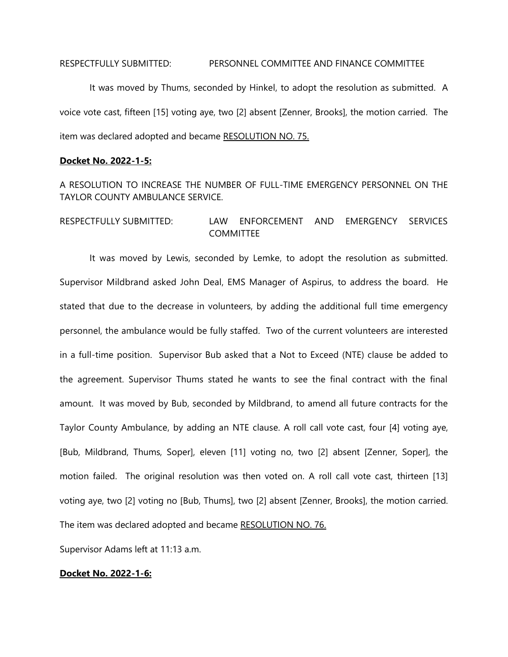#### RESPECTFULLY SUBMITTED: PERSONNEL COMMITTEE AND FINANCE COMMITTEE

It was moved by Thums, seconded by Hinkel, to adopt the resolution as submitted. A voice vote cast, fifteen [15] voting aye, two [2] absent [Zenner, Brooks], the motion carried. The item was declared adopted and became RESOLUTION NO. 75.

### **Docket No. 2022-1-5:**

A RESOLUTION TO INCREASE THE NUMBER OF FULL-TIME EMERGENCY PERSONNEL ON THE TAYLOR COUNTY AMBULANCE SERVICE.

# RESPECTFULLY SUBMITTED: LAW ENFORCEMENT AND EMERGENCY SERVICES **COMMITTEE**

It was moved by Lewis, seconded by Lemke, to adopt the resolution as submitted. Supervisor Mildbrand asked John Deal, EMS Manager of Aspirus, to address the board. He stated that due to the decrease in volunteers, by adding the additional full time emergency personnel, the ambulance would be fully staffed. Two of the current volunteers are interested in a full-time position. Supervisor Bub asked that a Not to Exceed (NTE) clause be added to the agreement. Supervisor Thums stated he wants to see the final contract with the final amount. It was moved by Bub, seconded by Mildbrand, to amend all future contracts for the Taylor County Ambulance, by adding an NTE clause. A roll call vote cast, four [4] voting aye, [Bub, Mildbrand, Thums, Soper], eleven [11] voting no, two [2] absent [Zenner, Soper], the motion failed. The original resolution was then voted on. A roll call vote cast, thirteen [13] voting aye, two [2] voting no [Bub, Thums], two [2] absent [Zenner, Brooks], the motion carried. The item was declared adopted and became RESOLUTION NO. 76.

Supervisor Adams left at 11:13 a.m.

### **Docket No. 2022-1-6:**